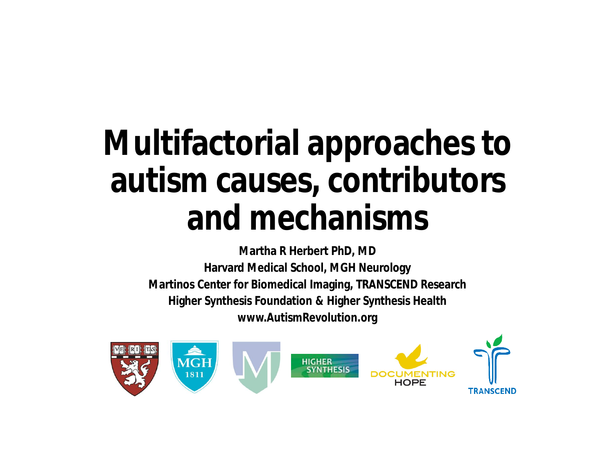# **Multifactorial approaches to autism causes, contributors and mechanisms**

**Martha R Herbert PhD, MD Harvard Medical School, MGH Neurology Martinos Center for Biomedical Imaging, TRANSCEND Research Higher Synthesis Foundation & Higher Synthesis Health www.AutismRevolution.org**

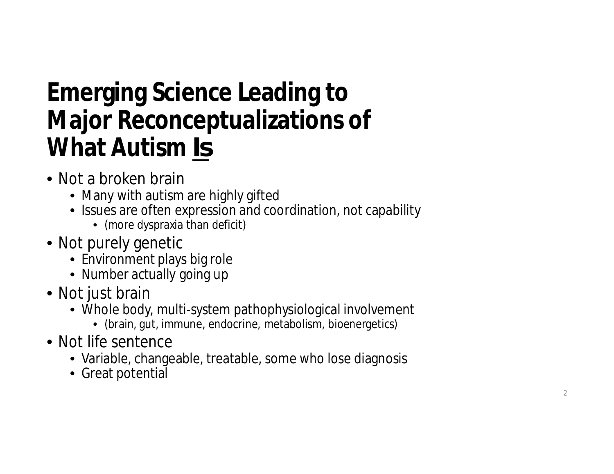#### **Emerging Science Leading to Major Reconceptualizations of What Autism** *Is*

- Not a broken brain
	- Many with autism are highly gifted
	- Issues are often expression and coordination, not capability
		- (more dyspraxia than deficit)
- Not purely genetic
	- Environment plays big role
	- Number actually going up
- Not just brain
	- Whole body, multi-system pathophysiological involvement
		- (brain, gut, immune, endocrine, metabolism, bioenergetics)
- Not life sentence
	- Variable, changeable, treatable, some who lose diagnosis
	- Great potential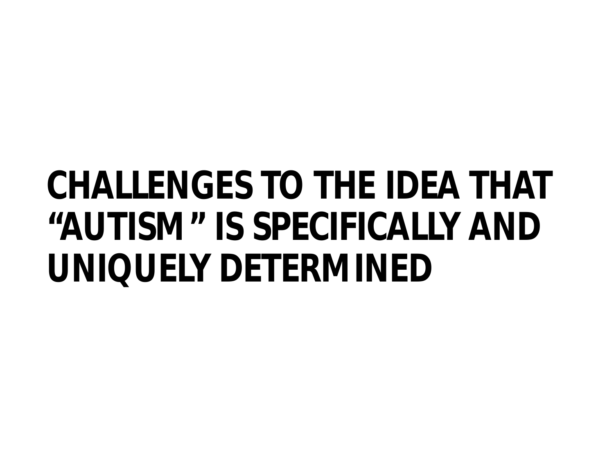# **CHALLENGES TO THE IDEA THAT "AUTISM" IS SPECIFICALLY AND UNIQUELY DETERMINED**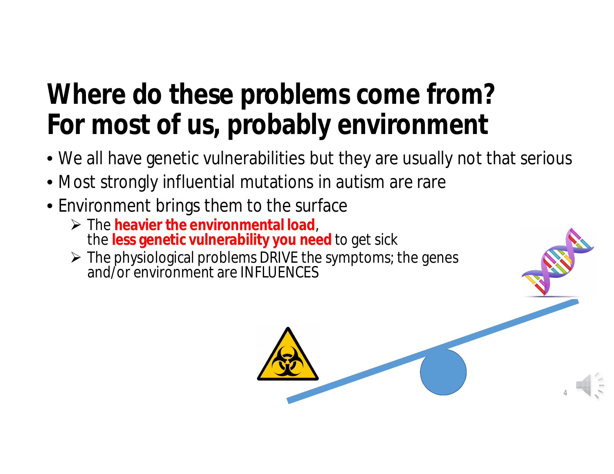### **Where do these problems come from? For most of us, probably environment**

• We all have genetic vulnerabilities but they are usually not that serious

4

- Most strongly influential mutations in autism are rare
- Environment brings them to the surface
	- Ø The **heavier the environmental load**, the **less genetic vulnerability you need** to get sick
	- $\triangleright$  The physiological problems DRIVE the symptoms; the genes and/or environment are INFLUENCES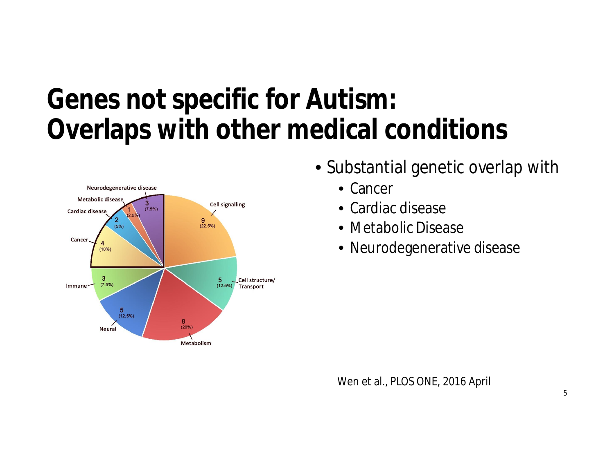#### **Genes not specific for Autism: Overlaps with other medical conditions**



- Substantial genetic overlap with
	- Cancer
	- Cardiac disease
	- Metabolic Disease
	- Neurodegenerative disease

Wen et al., PLOS ONE, 2016 April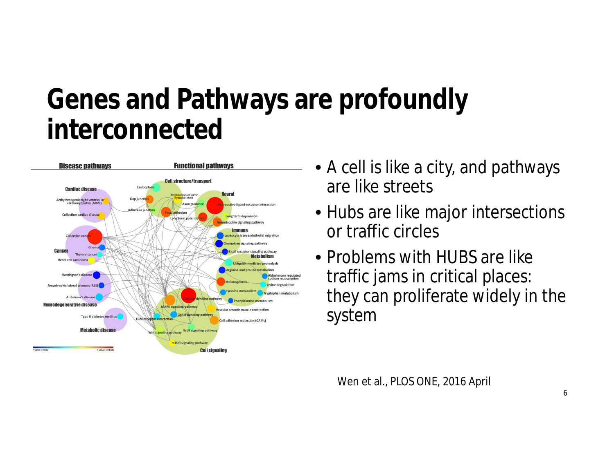#### **Genes and Pathways are profoundly interconnected**



- A cell is like a city, and pathways are like streets
- Hubs are like major intersections or traffic circles
- Problems with HUBS are like traffic jams in critical places: they can proliferate widely in the system

Wen et al., PLOS ONE, 2016 April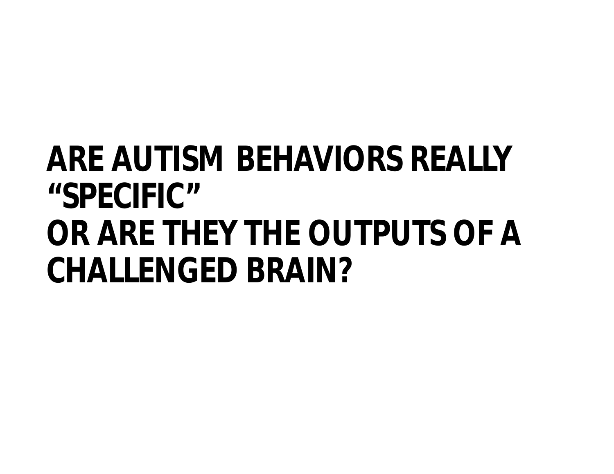## **ARE AUTISM BEHAVIORS REALLY "SPECIFIC" OR ARE THEY THE OUTPUTS OF A CHALLENGED BRAIN?**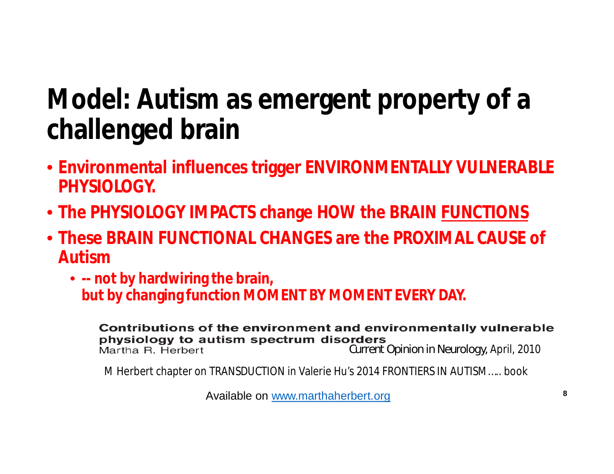### **Model: Autism as emergent property of a challenged brain**

- **Environmental influences trigger ENVIRONMENTALLY VULNERABLE PHYSIOLOGY.**
- **The PHYSIOLOGY IMPACTS change HOW the BRAIN FUNCTIONS**
- **These BRAIN FUNCTIONAL CHANGES are the PROXIMAL CAUSE of Autism**
	- **-- not by hardwiring the brain, but by changing function MOMENT BY MOMENT EVERY DAY.**

Contributions of the environment and environmentally vulnerable physiology to autism spectrum disorders Martha R. Herbert

*Current Opinion in Neurology,* April, 2010

M Herbert chapter on TRANSDUCTION in Valerie Hu's 2014 FRONTIERS IN AUTISM….. book

Available on www.marthaherbert.org **<sup>8</sup>**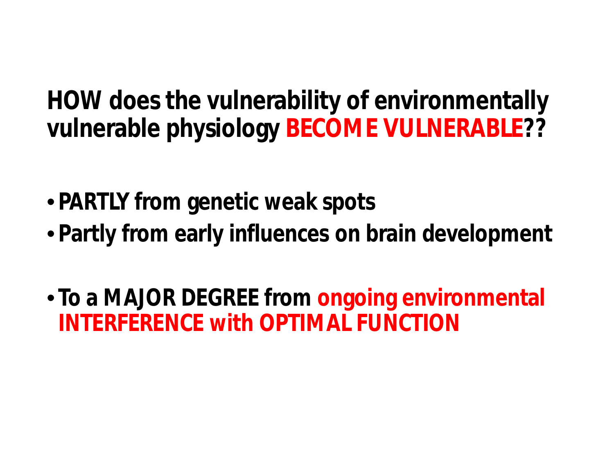**HOW does the vulnerability of environmentally vulnerable physiology BECOME VULNERABLE??**

- **PARTLY from genetic weak spots**
- **Partly from early influences on brain development**
- **To a MAJOR DEGREE from ongoing environmental INTERFERENCE with OPTIMAL FUNCTION**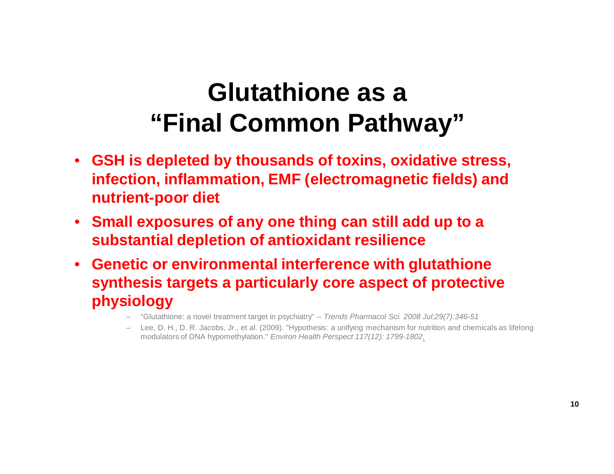#### **Glutathione as a "Final Common Pathway"**

- **GSH is depleted by thousands of toxins, oxidative stress, infection, inflammation, EMF (electromagnetic fields) and nutrient-poor diet**
- **Small exposures of any one thing can still add up to a substantial depletion of antioxidant resilience**
- **Genetic or environmental interference with glutathione synthesis targets a particularly core aspect of protective physiology**
	- "Glutathione: a novel treatment target in psychiatry" *Trends Pharmacol Sci. 2008 Jul;29(7):346-51*
	- Lee, D. H., D. R. Jacobs, Jr., et al. (2009). "Hypothesis: a unifying mechanism for nutrition and chemicals as lifelong modulators of DNA hypomethylation." *Environ Health Perspect 117(12): 1799-1802.*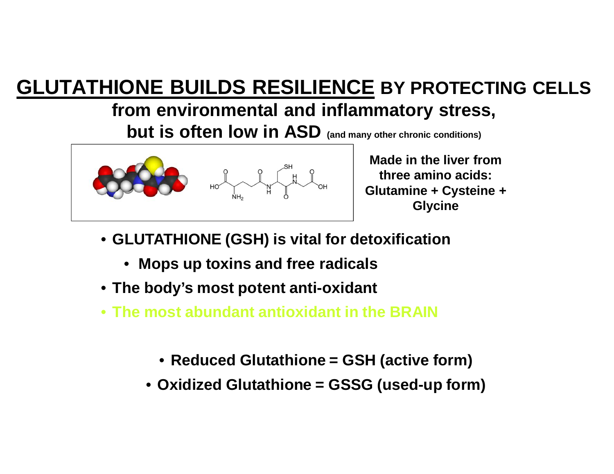#### **GLUTATHIONE BUILDS RESILIENCE BY PROTECTING CELLS**

#### **from environmental and inflammatory stress,**

**but is often low in ASD (and many other chronic conditions)**



**Made in the liver from three amino acids: Glutamine + Cysteine + Glycine**

- **GLUTATHIONE (GSH) is vital for detoxification**
	- **Mops up toxins and free radicals**
- **The body's most potent anti-oxidant**
- **The most abundant antioxidant in the BRAIN**
	- **Reduced Glutathione = GSH (active form)**
	- **Oxidized Glutathione = GSSG (used-up form)**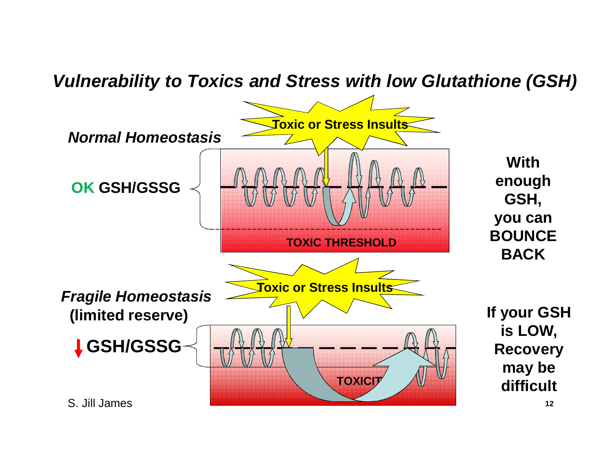#### *Vulnerability to Toxics and Stress with low Glutathione (GSH)*